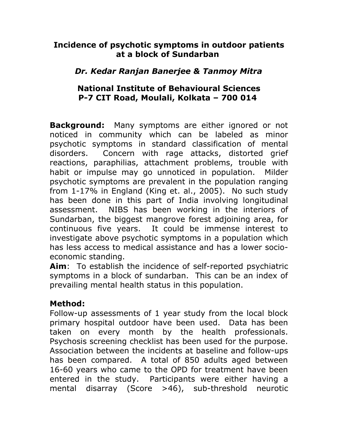### **Incidence of psychotic symptoms in outdoor patients at a block of Sundarban**

# *Dr. Kedar Ranjan Banerjee & Tanmoy Mitra*

## **National Institute of Behavioural Sciences P-7 CIT Road, Moulali, Kolkata – 700 014**

**Background:** Many symptoms are either ignored or not noticed in community which can be labeled as minor psychotic symptoms in standard classification of mental disorders. Concern with rage attacks, distorted grief reactions, paraphilias, attachment problems, trouble with habit or impulse may go unnoticed in population. Milder psychotic symptoms are prevalent in the population ranging from 1-17% in England (King et. al., 2005). No such study has been done in this part of India involving longitudinal assessment. NIBS has been working in the interiors of Sundarban, the biggest mangrove forest adjoining area, for continuous five years. It could be immense interest to investigate above psychotic symptoms in a population which has less access to medical assistance and has a lower socioeconomic standing.

**Aim**: To establish the incidence of self-reported psychiatric symptoms in a block of sundarban. This can be an index of prevailing mental health status in this population.

### **Method:**

Follow-up assessments of 1 year study from the local block primary hospital outdoor have been used. Data has been taken on every month by the health professionals. Psychosis screening checklist has been used for the purpose. Association between the incidents at baseline and follow-ups has been compared. A total of 850 adults aged between 16-60 years who came to the OPD for treatment have been entered in the study. Participants were either having a mental disarray (Score >46), sub-threshold neurotic